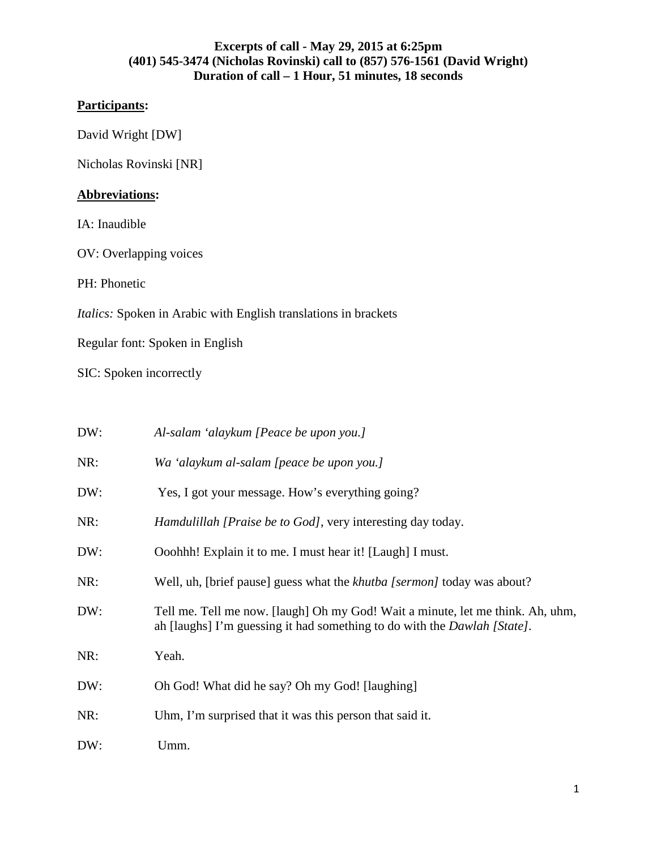# **Participants:**

David Wright [DW]

Nicholas Rovinski [NR]

# **Abbreviations:**

IA: Inaudible

OV: Overlapping voices

PH: Phonetic

*Italics:* Spoken in Arabic with English translations in brackets

Regular font: Spoken in English

SIC: Spoken incorrectly

| DW: | Al-salam 'alaykum [Peace be upon you.]                                                                                                                             |  |
|-----|--------------------------------------------------------------------------------------------------------------------------------------------------------------------|--|
| NR: | Wa 'alaykum al-salam [peace be upon you.]                                                                                                                          |  |
| DW: | Yes, I got your message. How's everything going?                                                                                                                   |  |
| NR: | <i>Hamdulillah [Praise be to God]</i> , very interesting day today.                                                                                                |  |
| DW: | Ooohhh! Explain it to me. I must hear it! [Laugh] I must.                                                                                                          |  |
| NR: | Well, uh, [brief pause] guess what the <i>khutba</i> [sermon] today was about?                                                                                     |  |
| DW: | Tell me. Tell me now. [laugh] Oh my God! Wait a minute, let me think. Ah, uhm,<br>ah [laughs] I'm guessing it had something to do with the <i>Dawlah [State]</i> . |  |
| NR: | Yeah.                                                                                                                                                              |  |
| DW: | Oh God! What did he say? Oh my God! [laughing]                                                                                                                     |  |
| NR: | Uhm, I'm surprised that it was this person that said it.                                                                                                           |  |
| DW: | Umm.                                                                                                                                                               |  |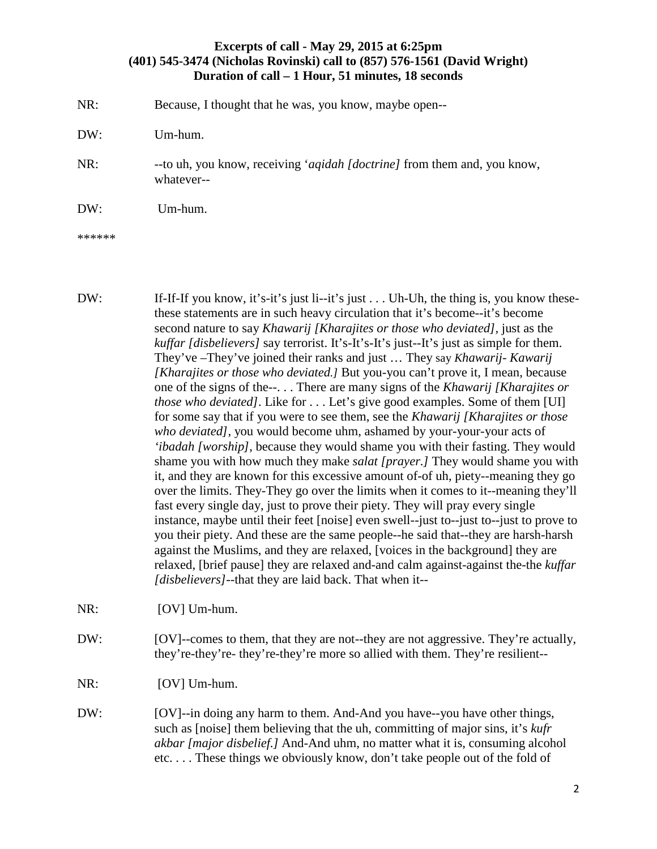NR: Because, I thought that he was, you know, maybe open--

DW: Um-hum.

NR: --to uh, you know, receiving '*aqidah [doctrine]* from them and, you know, whatever--

DW: Um-hum.

\*\*\*\*\*\*

- DW: If-If-If you know, it's-it's just li--it's just . . . Uh-Uh, the thing is, you know thesethese statements are in such heavy circulation that it's become--it's become second nature to say *Khawarij [Kharajites or those who deviated],* just as the *kuffar [disbelievers]* say terrorist. It's-It's-It's just--It's just as simple for them. They've –They've joined their ranks and just … They say *Khawarij- Kawarij [Kharajites or those who deviated.]* But you-you can't prove it, I mean, because one of the signs of the--. . . There are many signs of the *Khawarij [Kharajites or those who deviated]*. Like for . . . Let's give good examples. Some of them [UI] for some say that if you were to see them, see the *Khawarij [Kharajites or those who deviated]*, you would become uhm, ashamed by your-your-your acts of *'ibadah [worship]*, because they would shame you with their fasting. They would shame you with how much they make *salat [prayer.]* They would shame you with it, and they are known for this excessive amount of-of uh, piety--meaning they go over the limits. They-They go over the limits when it comes to it--meaning they'll fast every single day, just to prove their piety. They will pray every single instance, maybe until their feet [noise] even swell--just to--just to--just to prove to you their piety. And these are the same people--he said that--they are harsh-harsh against the Muslims, and they are relaxed, [voices in the background] they are relaxed, [brief pause] they are relaxed and-and calm against-against the-the *kuffar [disbelievers]*--that they are laid back. That when it--
- NR: [OV] Um-hum.
- DW: [OV]--comes to them, that they are not--they are not aggressive. They're actually, they're-they're- they're-they're more so allied with them. They're resilient--
- NR: [OV] Um-hum.
- DW: [OV]--in doing any harm to them. And-And you have--you have other things, such as [noise] them believing that the uh, committing of major sins, it's *kufr akbar [major disbelief.]* And-And uhm, no matter what it is, consuming alcohol etc. . . . These things we obviously know, don't take people out of the fold of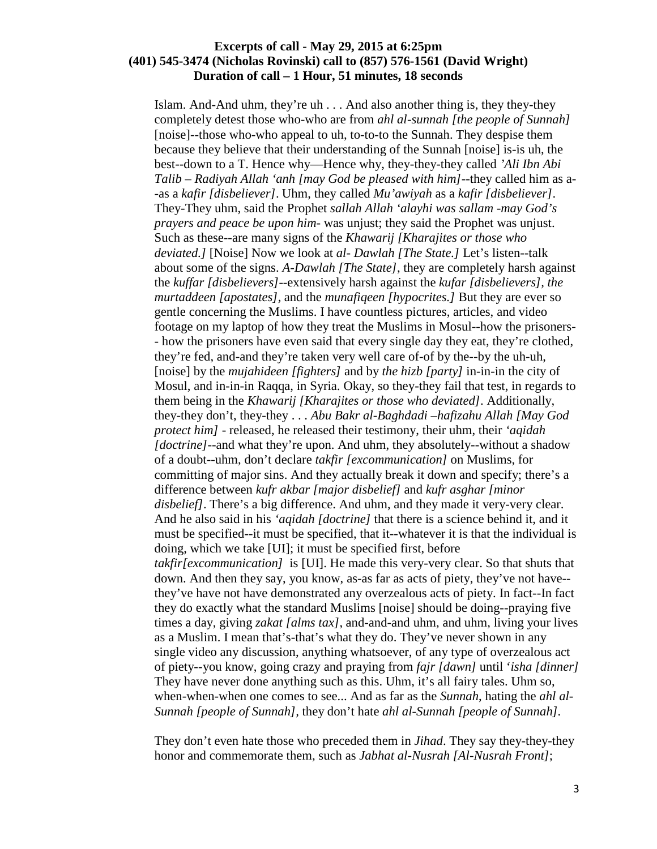Islam. And-And uhm, they're uh . . . And also another thing is, they they-they completely detest those who-who are from *ahl al-sunnah [the people of Sunnah]* [noise]--those who-who appeal to uh, to-to-to the Sunnah. They despise them because they believe that their understanding of the Sunnah [noise] is-is uh, the best--down to a T. Hence why—Hence why, they-they-they called *'Ali Ibn Abi Talib* – *Radiyah Allah 'anh [may God be pleased with him]*--they called him as a- -as a *kafir [disbeliever]*. Uhm, they called *Mu'awiyah* as a *kafir [disbeliever]*. They-They uhm, said the Prophet *sallah Allah 'alayhi was sallam* -*may God's prayers and peace be upon him*- was unjust; they said the Prophet was unjust. Such as these--are many signs of the *Khawarij [Kharajites or those who deviated.]* [Noise] Now we look at *al- Dawlah [The State.]* Let's listen--talk about some of the signs. *A-Dawlah [The State]*, they are completely harsh against the *kuffar [disbelievers]*--extensively harsh against the *kufar [disbelievers], the murtaddeen [apostates],* and the *munafiqeen [hypocrites.]* But they are ever so gentle concerning the Muslims. I have countless pictures, articles, and video footage on my laptop of how they treat the Muslims in Mosul--how the prisoners- - how the prisoners have even said that every single day they eat, they're clothed, they're fed, and-and they're taken very well care of-of by the--by the uh-uh, [noise] by the *mujahideen [fighters]* and by *the hizb [party]* in-in-in the city of Mosul, and in-in-in Raqqa, in Syria. Okay, so they-they fail that test, in regards to them being in the *Khawarij [Kharajites or those who deviated]*. Additionally, they-they don't, they-they . . . *Abu Bakr al-Baghdadi* –*hafizahu Allah [May God protect him] -* released, he released their testimony, their uhm, their *'aqidah [doctrine]*--and what they're upon. And uhm, they absolutely--without a shadow of a doubt--uhm, don't declare *takfir [excommunication]* on Muslims, for committing of major sins. And they actually break it down and specify; there's a difference between *kufr akbar [major disbelief]* and *kufr asghar [minor disbelief]*. There's a big difference. And uhm, and they made it very-very clear. And he also said in his *'aqidah [doctrine]* that there is a science behind it, and it must be specified--it must be specified, that it--whatever it is that the individual is doing, which we take [UI]; it must be specified first, before *takfir[excommunication]* is [UI]. He made this very-very clear. So that shuts that down. And then they say, you know, as-as far as acts of piety, they've not have- they've have not have demonstrated any overzealous acts of piety. In fact--In fact they do exactly what the standard Muslims [noise] should be doing--praying five times a day, giving *zakat [alms tax]*, and-and-and uhm, and uhm, living your lives as a Muslim. I mean that's-that's what they do. They've never shown in any single video any discussion, anything whatsoever, of any type of overzealous act of piety--you know, going crazy and praying from *fajr [dawn]* until '*isha [dinner]* They have never done anything such as this. Uhm, it's all fairy tales. Uhm so, when-when-when one comes to see... And as far as the *Sunnah*, hating the *ahl al-Sunnah [people of Sunnah],* they don't hate *ahl al-Sunnah [people of Sunnah].*

They don't even hate those who preceded them in *Jihad*. They say they-they-they honor and commemorate them, such as *Jabhat al-Nusrah [Al-Nusrah Front]*;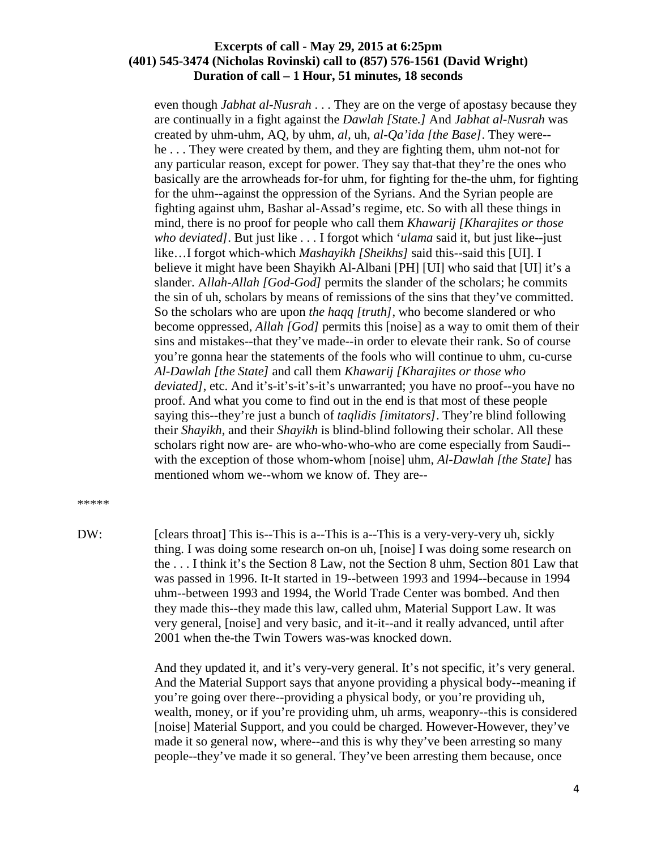even though *Jabhat al-Nusrah* . . . They are on the verge of apostasy because they are continually in a fight against the *Dawlah [Stat*e*.]* And *Jabhat al-Nusrah* was created by uhm-uhm, AQ, by uhm, *al,* uh*, al-Qa'ida [the Base]*. They were- he . . . They were created by them, and they are fighting them, uhm not-not for any particular reason, except for power. They say that-that they're the ones who basically are the arrowheads for-for uhm, for fighting for the-the uhm, for fighting for the uhm--against the oppression of the Syrians. And the Syrian people are fighting against uhm, Bashar al-Assad's regime, etc. So with all these things in mind, there is no proof for people who call them *Khawarij [Kharajites or those who deviated]*. But just like . . . I forgot which '*ulama* said it, but just like--just like…I forgot which-which *Mashayikh [Sheikhs]* said this--said this [UI]. I believe it might have been Shayikh Al-Albani [PH] [UI] who said that [UI] it's a slander. A*llah-Allah [God-God]* permits the slander of the scholars; he commits the sin of uh, scholars by means of remissions of the sins that they've committed. So the scholars who are upon *the haqq [truth]*, who become slandered or who become oppressed, *Allah [God]* permits this [noise] as a way to omit them of their sins and mistakes--that they've made--in order to elevate their rank. So of course you're gonna hear the statements of the fools who will continue to uhm, cu-curse *Al-Dawlah [the State]* and call them *Khawarij [Kharajites or those who deviated]*, etc. And it's-it's-it's-it's unwarranted; you have no proof--you have no proof. And what you come to find out in the end is that most of these people saying this--they're just a bunch of *taqlidis [imitators]*. They're blind following their *Shayikh*, and their *Shayikh* is blind-blind following their scholar. All these scholars right now are- are who-who-who-who are come especially from Saudi- with the exception of those whom-whom [noise] uhm, *Al-Dawlah [the State]* has mentioned whom we--whom we know of. They are--

#### \*\*\*\*\*

DW: [clears throat] This is--This is a--This is a--This is a very-very-very uh, sickly thing. I was doing some research on-on uh, [noise] I was doing some research on the . . . I think it's the Section 8 Law, not the Section 8 uhm, Section 801 Law that was passed in 1996. It-It started in 19--between 1993 and 1994--because in 1994 uhm--between 1993 and 1994, the World Trade Center was bombed. And then they made this--they made this law, called uhm, Material Support Law. It was very general, [noise] and very basic, and it-it--and it really advanced, until after 2001 when the-the Twin Towers was-was knocked down.

> And they updated it, and it's very-very general. It's not specific, it's very general. And the Material Support says that anyone providing a physical body--meaning if you're going over there--providing a physical body, or you're providing uh, wealth, money, or if you're providing uhm, uh arms, weaponry--this is considered [noise] Material Support, and you could be charged. However-However, they've made it so general now, where--and this is why they've been arresting so many people--they've made it so general. They've been arresting them because, once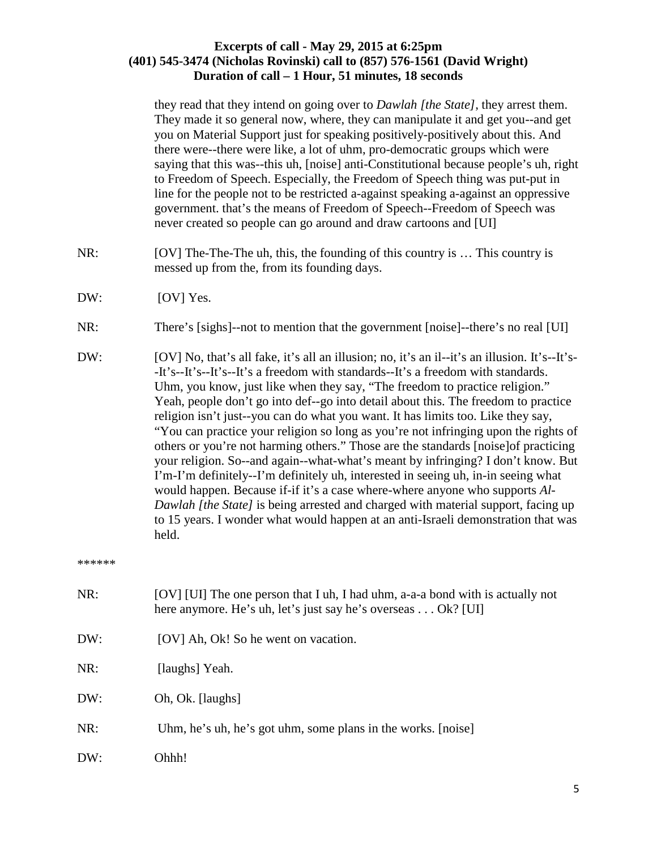they read that they intend on going over to *Dawlah [the State]*, they arrest them. They made it so general now, where, they can manipulate it and get you--and get you on Material Support just for speaking positively-positively about this. And there were--there were like, a lot of uhm, pro-democratic groups which were saying that this was--this uh, [noise] anti-Constitutional because people's uh, right to Freedom of Speech. Especially, the Freedom of Speech thing was put-put in line for the people not to be restricted a-against speaking a-against an oppressive government. that's the means of Freedom of Speech--Freedom of Speech was never created so people can go around and draw cartoons and [UI]

- NR: [OV] The-The-The uh, this, the founding of this country is ... This country is messed up from the, from its founding days.
- DW: [OV] Yes.
- NR: There's [sighs]--not to mention that the government [noise]--there's no real [UI]
- DW: [OV] No, that's all fake, it's all an illusion; no, it's an il--it's an illusion. It's--It's--It's--It's--It's--It's a freedom with standards--It's a freedom with standards. Uhm, you know, just like when they say, "The freedom to practice religion." Yeah, people don't go into def--go into detail about this. The freedom to practice religion isn't just--you can do what you want. It has limits too. Like they say, "You can practice your religion so long as you're not infringing upon the rights of others or you're not harming others." Those are the standards [noise]of practicing your religion. So--and again--what-what's meant by infringing? I don't know. But I'm-I'm definitely--I'm definitely uh, interested in seeing uh, in-in seeing what would happen. Because if-if it's a case where-where anyone who supports *Al-Dawlah [the State]* is being arrested and charged with material support, facing up to 15 years. I wonder what would happen at an anti-Israeli demonstration that was held.

\*\*\*\*\*\*

- NR: [OV] [UI] The one person that I uh, I had uhm, a-a-a bond with is actually not here anymore. He's uh, let's just say he's overseas . . . Ok? [UI]
- DW: [OV] Ah, Ok! So he went on vacation.
- NR: [laughs] Yeah.
- DW: Oh, Ok. [laughs]
- NR: Uhm, he's uh, he's got uhm, some plans in the works. [noise]
- DW: Ohhh!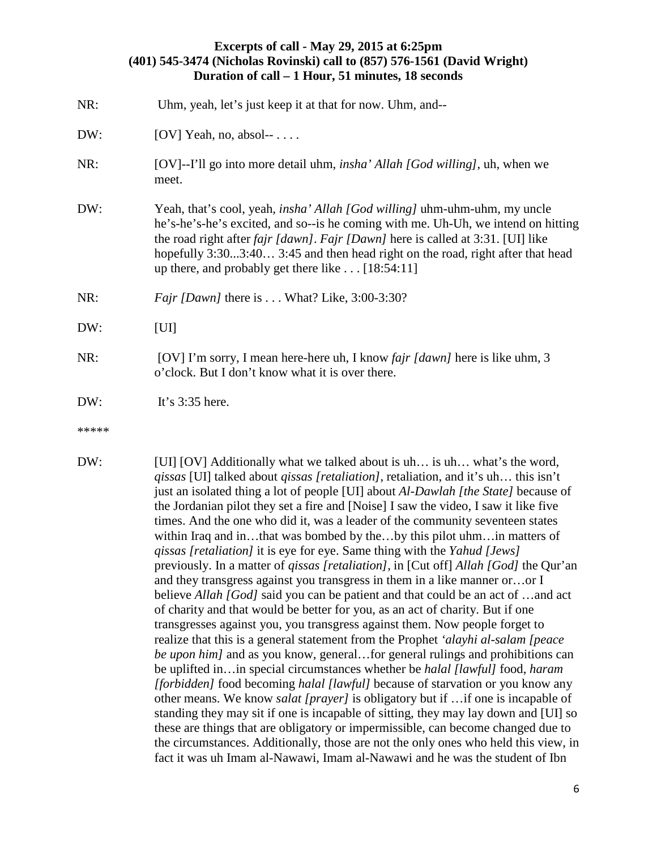| NR:   | Uhm, yeah, let's just keep it at that for now. Uhm, and--                                                                                                                                                                                                                                                                                                                                                             |  |
|-------|-----------------------------------------------------------------------------------------------------------------------------------------------------------------------------------------------------------------------------------------------------------------------------------------------------------------------------------------------------------------------------------------------------------------------|--|
| DW:   | [OV] Yeah, no, absol- $\cdots$ .                                                                                                                                                                                                                                                                                                                                                                                      |  |
| NR:   | [OV]--I'll go into more detail uhm, <i>insha' Allah [God willing]</i> , uh, when we<br>meet.                                                                                                                                                                                                                                                                                                                          |  |
| DW:   | Yeah, that's cool, yeah, <i>insha' Allah [God willing]</i> uhm-uhm-uhm, my uncle<br>he's-he's-he's excited, and so--is he coming with me. Uh-Uh, we intend on hitting<br>the road right after <i>fajr [dawn]</i> . <i>Fajr [Dawn]</i> here is called at 3:31. [UI] like<br>hopefully 3:303:40 3:45 and then head right on the road, right after that head<br>up there, and probably get there like $\dots$ [18:54:11] |  |
| NR:   | <i>Fajr [Dawn]</i> there is What? Like, $3:00-3:30$ ?                                                                                                                                                                                                                                                                                                                                                                 |  |
| DW:   | [U]                                                                                                                                                                                                                                                                                                                                                                                                                   |  |
| NR:   | [OV] I'm sorry, I mean here-here uh, I know <i>fajr [dawn]</i> here is like uhm, 3<br>o'clock. But I don't know what it is over there.                                                                                                                                                                                                                                                                                |  |
| DW:   | It's $3:35$ here.                                                                                                                                                                                                                                                                                                                                                                                                     |  |
| ***** |                                                                                                                                                                                                                                                                                                                                                                                                                       |  |

DW: [UI] [OV] Additionally what we talked about is uh... is uh… what's the word, *qissas* [UI] talked about *qissas [retaliation]*, retaliation, and it's uh… this isn't just an isolated thing a lot of people [UI] about *Al-Dawlah [the State]* because of the Jordanian pilot they set a fire and [Noise] I saw the video, I saw it like five times. And the one who did it, was a leader of the community seventeen states within Iraq and in…that was bombed by the…by this pilot uhm…in matters of *qissas [retaliation]* it is eye for eye. Same thing with the *Yahud [Jews]* previously. In a matter of *qissas [retaliation]*, in [Cut off] *Allah [God]* the Qur'an and they transgress against you transgress in them in a like manner or…or I believe *Allah [God]* said you can be patient and that could be an act of …and act of charity and that would be better for you, as an act of charity. But if one transgresses against you, you transgress against them. Now people forget to realize that this is a general statement from the Prophet *'alayhi al-salam [peace be upon him]* and as you know, general...for general rulings and prohibitions can be uplifted in…in special circumstances whether be *halal [lawful]* food, *haram [forbidden]* food becoming *halal [lawful]* because of starvation or you know any other means. We know *salat [prayer]* is obligatory but if …if one is incapable of standing they may sit if one is incapable of sitting, they may lay down and [UI] so these are things that are obligatory or impermissible, can become changed due to the circumstances. Additionally, those are not the only ones who held this view, in fact it was uh Imam al-Nawawi, Imam al-Nawawi and he was the student of Ibn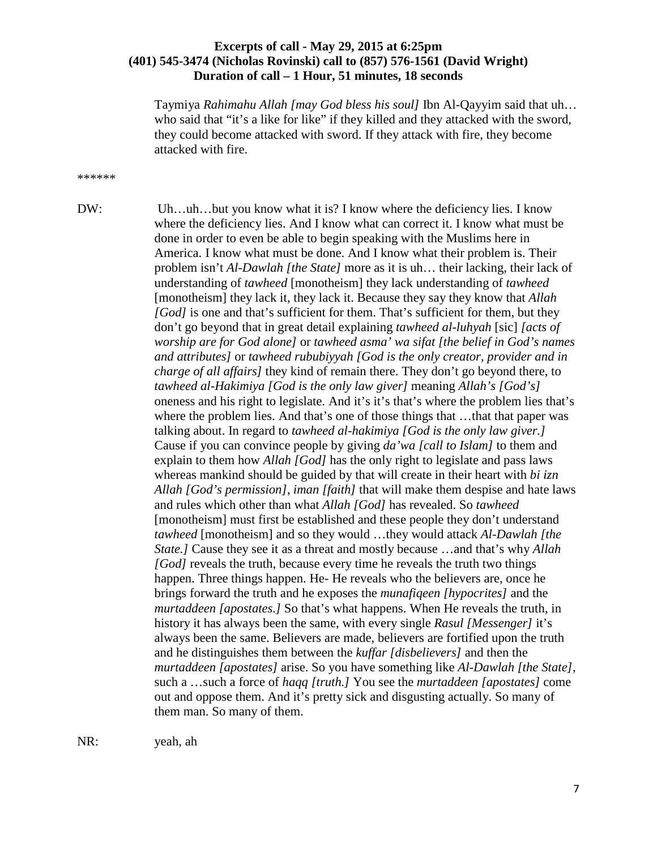Taymiya *Rahimahu Allah [may God bless his soul]* Ibn Al-Qayyim said that uh… who said that "it's a like for like" if they killed and they attacked with the sword, they could become attacked with sword. If they attack with fire, they become attacked with fire.

#### \*\*\*\*\*\*

DW: Uh…uh…but you know what it is? I know where the deficiency lies. I know where the deficiency lies. And I know what can correct it. I know what must be done in order to even be able to begin speaking with the Muslims here in America. I know what must be done. And I know what their problem is. Their problem isn't *Al-Dawlah [the State]* more as it is uh… their lacking, their lack of understanding of *tawheed* [monotheism] they lack understanding of *tawheed* [monotheism] they lack it, they lack it. Because they say they know that *Allah [God]* is one and that's sufficient for them. That's sufficient for them, but they don't go beyond that in great detail explaining *tawheed al-luhyah* [sic] *[acts of worship are for God alone]* or *tawheed asma' wa sifat [the belief in God's names and attributes]* or *tawheed rububiyyah [God is the only creator, provider and in charge of all affairs]* they kind of remain there. They don't go beyond there, to *tawheed al-Hakimiya [God is the only law giver]* meaning *Allah's [God's]* oneness and his right to legislate. And it's it's that's where the problem lies that's where the problem lies. And that's one of those things that …that that paper was talking about. In regard to *tawheed al-hakimiya [God is the only law giver.]*  Cause if you can convince people by giving *da'wa [call to Islam]* to them and explain to them how *Allah [God]* has the only right to legislate and pass laws whereas mankind should be guided by that will create in their heart with *bi izn Allah [God's permission]*, *iman [faith]* that will make them despise and hate laws and rules which other than what *Allah [God]* has revealed. So *tawheed* [monotheism] must first be established and these people they don't understand *tawheed* [monotheism] and so they would …they would attack *Al-Dawlah [the State.]* Cause they see it as a threat and mostly because …and that's why *Allah [God]* reveals the truth, because every time he reveals the truth two things happen. Three things happen. He- He reveals who the believers are, once he brings forward the truth and he exposes the *munafiqeen [hypocrites]* and the *murtaddeen [apostates.]* So that's what happens. When He reveals the truth, in history it has always been the same, with every single *Rasul [Messenger]* it's always been the same. Believers are made, believers are fortified upon the truth and he distinguishes them between the *kuffar [disbelievers]* and then the *murtaddeen [apostates]* arise. So you have something like *Al-Dawlah [the State]*, such a …such a force of *haqq [truth.]* You see the *murtaddeen [apostates]* come out and oppose them. And it's pretty sick and disgusting actually. So many of them man. So many of them.

NR: yeah, ah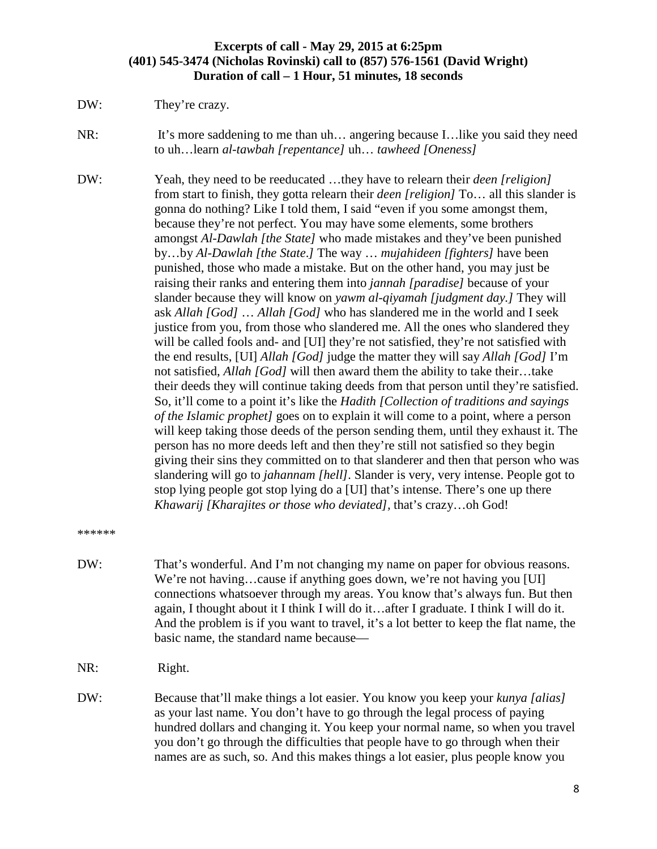DW: They're crazy.

NR: It's more saddening to me than uh… angering because I…like you said they need to uh…learn *al-tawbah [repentance]* uh… *tawheed [Oneness]* 

DW: Yeah, they need to be reeducated …they have to relearn their *deen [religion]* from start to finish, they gotta relearn their *deen [religion]* To… all this slander is gonna do nothing? Like I told them, I said "even if you some amongst them, because they're not perfect. You may have some elements, some brothers amongst *Al-Dawlah [the State]* who made mistakes and they've been punished by…by *Al-Dawlah [the State*.*]* The way … *mujahideen [fighters]* have been punished, those who made a mistake. But on the other hand, you may just be raising their ranks and entering them into *jannah [paradise]* because of your slander because they will know on *yawm al-qiyamah [judgment day.]* They will ask *Allah [God]* … *Allah [God]* who has slandered me in the world and I seek justice from you, from those who slandered me. All the ones who slandered they will be called fools and- and [UI] they're not satisfied, they're not satisfied with the end results, [UI] *Allah [God]* judge the matter they will say *Allah [God]* I'm not satisfied, *Allah [God]* will then award them the ability to take their…take their deeds they will continue taking deeds from that person until they're satisfied. So, it'll come to a point it's like the *Hadith [Collection of traditions and sayings of the Islamic prophet]* goes on to explain it will come to a point, where a person will keep taking those deeds of the person sending them, until they exhaust it. The person has no more deeds left and then they're still not satisfied so they begin giving their sins they committed on to that slanderer and then that person who was slandering will go to *jahannam [hell].* Slander is very, very intense. People got to stop lying people got stop lying do a [UI] that's intense. There's one up there *Khawarij [Kharajites or those who deviated],* that's crazy…oh God!

\*\*\*\*\*\*

- DW: That's wonderful. And I'm not changing my name on paper for obvious reasons. We're not having...cause if anything goes down, we're not having you [UI] connections whatsoever through my areas. You know that's always fun. But then again, I thought about it I think I will do it…after I graduate. I think I will do it. And the problem is if you want to travel, it's a lot better to keep the flat name, the basic name, the standard name because—
- NR: Right.
- DW: Because that'll make things a lot easier. You know you keep your *kunya [alias]* as your last name. You don't have to go through the legal process of paying hundred dollars and changing it. You keep your normal name, so when you travel you don't go through the difficulties that people have to go through when their names are as such, so. And this makes things a lot easier, plus people know you